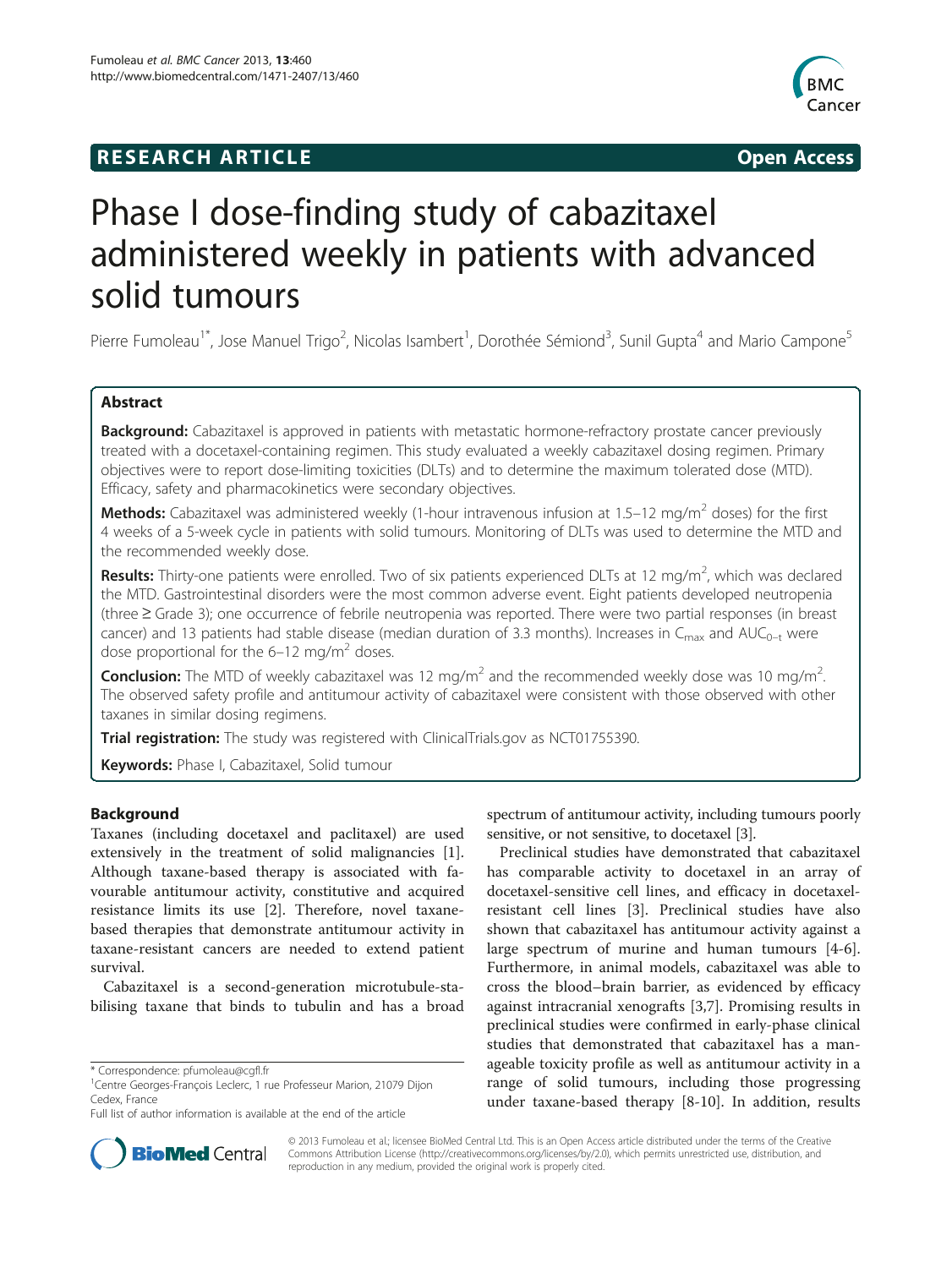## **RESEARCH ARTICLE Example 2014 The SEAR CH ACCESS**



# Phase I dose-finding study of cabazitaxel administered weekly in patients with advanced solid tumours

Pierre Fumoleau<sup>1\*</sup>, Jose Manuel Trigo<sup>2</sup>, Nicolas Isambert<sup>1</sup>, Dorothée Sémiond<sup>3</sup>, Sunil Gupta<sup>4</sup> and Mario Campone<sup>5</sup>

### Abstract

Background: Cabazitaxel is approved in patients with metastatic hormone-refractory prostate cancer previously treated with a docetaxel-containing regimen. This study evaluated a weekly cabazitaxel dosing regimen. Primary objectives were to report dose-limiting toxicities (DLTs) and to determine the maximum tolerated dose (MTD). Efficacy, safety and pharmacokinetics were secondary objectives.

**Methods:** Cabazitaxel was administered weekly (1-hour intravenous infusion at  $1.5-12$  mg/m<sup>2</sup> doses) for the first 4 weeks of a 5-week cycle in patients with solid tumours. Monitoring of DLTs was used to determine the MTD and the recommended weekly dose.

Results: Thirty-one patients were enrolled. Two of six patients experienced DLTs at 12 mg/m<sup>2</sup>, which was declared the MTD. Gastrointestinal disorders were the most common adverse event. Eight patients developed neutropenia (three ≥ Grade 3); one occurrence of febrile neutropenia was reported. There were two partial responses (in breast cancer) and 13 patients had stable disease (median duration of 3.3 months). Increases in C<sub>max</sub> and AUC<sub>0-t</sub> were dose proportional for the  $6-12$  mg/m<sup>2</sup> doses.

**Conclusion:** The MTD of weekly cabazitaxel was 12 mg/m<sup>2</sup> and the recommended weekly dose was 10 mg/m<sup>2</sup>. The observed safety profile and antitumour activity of cabazitaxel were consistent with those observed with other taxanes in similar dosing regimens.

Trial registration: The study was registered with ClinicalTrials.gov as [NCT01755390.](http://www.clinicaltrials.gov/ct2/show/NCT01755390)

Keywords: Phase I, Cabazitaxel, Solid tumour

#### Background

Taxanes (including docetaxel and paclitaxel) are used extensively in the treatment of solid malignancies [\[1](#page-8-0)]. Although taxane-based therapy is associated with favourable antitumour activity, constitutive and acquired resistance limits its use [[2](#page-8-0)]. Therefore, novel taxanebased therapies that demonstrate antitumour activity in taxane-resistant cancers are needed to extend patient survival.

Cabazitaxel is a second-generation microtubule-stabilising taxane that binds to tubulin and has a broad

spectrum of antitumour activity, including tumours poorly sensitive, or not sensitive, to docetaxel [\[3](#page-8-0)].

Preclinical studies have demonstrated that cabazitaxel has comparable activity to docetaxel in an array of docetaxel-sensitive cell lines, and efficacy in docetaxelresistant cell lines [[3](#page-8-0)]. Preclinical studies have also shown that cabazitaxel has antitumour activity against a large spectrum of murine and human tumours [[4-6](#page-8-0)]. Furthermore, in animal models, cabazitaxel was able to cross the blood–brain barrier, as evidenced by efficacy against intracranial xenografts [\[3,7](#page-8-0)]. Promising results in preclinical studies were confirmed in early-phase clinical studies that demonstrated that cabazitaxel has a manageable toxicity profile as well as antitumour activity in a range of solid tumours, including those progressing under taxane-based therapy [[8-10](#page-8-0)]. In addition, results



© 2013 Fumoleau et al.; licensee BioMed Central Ltd. This is an Open Access article distributed under the terms of the Creative Commons Attribution License [\(http://creativecommons.org/licenses/by/2.0\)](http://creativecommons.org/licenses/by/2.0), which permits unrestricted use, distribution, and reproduction in any medium, provided the original work is properly cited.

<sup>\*</sup> Correspondence: [pfumoleau@cgfl.fr](mailto:pfumoleau@cgfl.fr) <sup>1</sup>

<sup>&</sup>lt;sup>1</sup> Centre Georges-François Leclerc, 1 rue Professeur Marion, 21079 Dijon Cedex, France

Full list of author information is available at the end of the article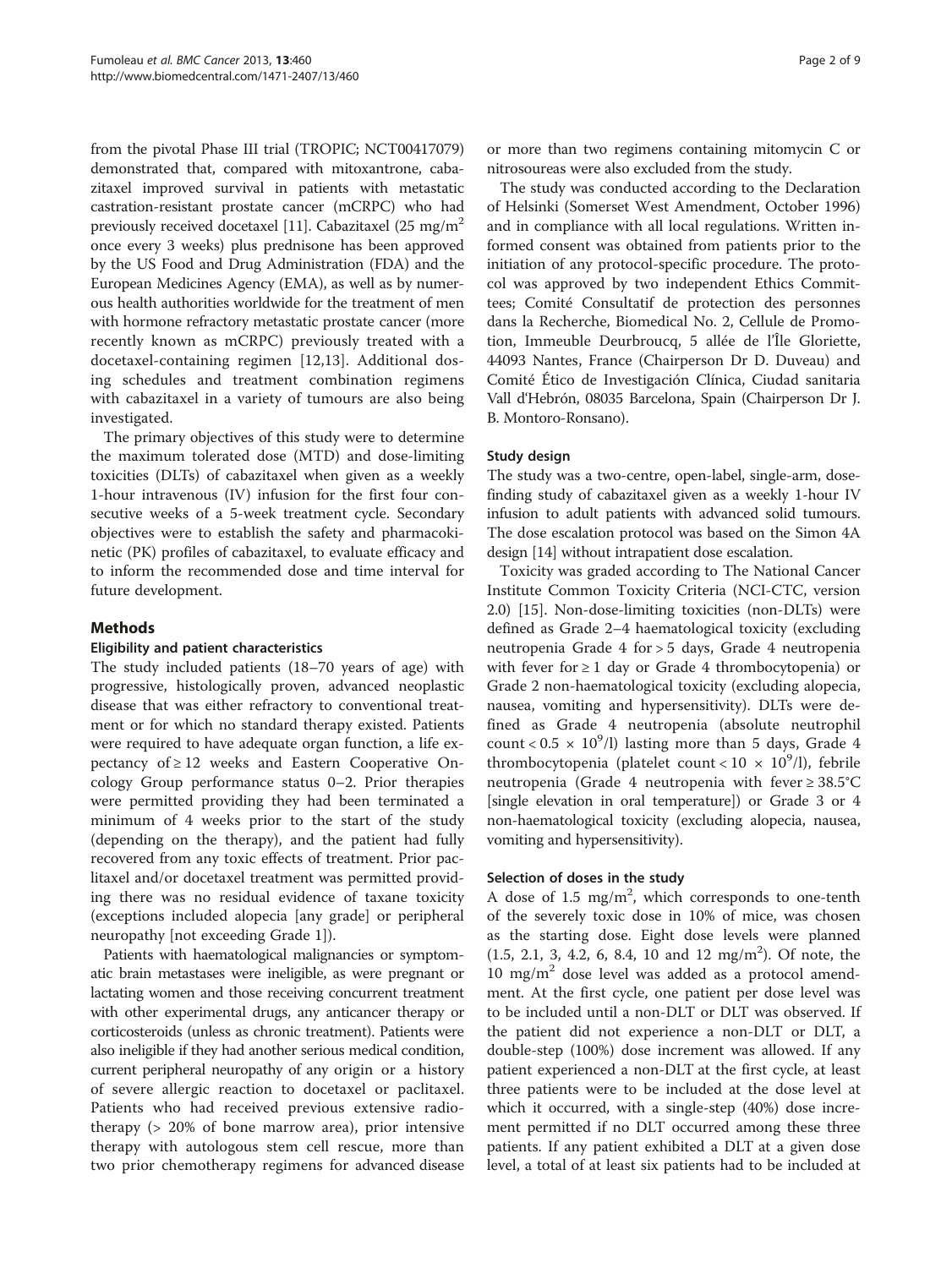from the pivotal Phase III trial (TROPIC; NCT00417079) demonstrated that, compared with mitoxantrone, cabazitaxel improved survival in patients with metastatic castration-resistant prostate cancer (mCRPC) who had previously received docetaxel [\[11\]](#page-8-0). Cabazitaxel  $(25 \text{ mg/m}^2)$ once every 3 weeks) plus prednisone has been approved by the US Food and Drug Administration (FDA) and the European Medicines Agency (EMA), as well as by numerous health authorities worldwide for the treatment of men with hormone refractory metastatic prostate cancer (more recently known as mCRPC) previously treated with a docetaxel-containing regimen [[12,13](#page-8-0)]. Additional dosing schedules and treatment combination regimens with cabazitaxel in a variety of tumours are also being investigated.

The primary objectives of this study were to determine the maximum tolerated dose (MTD) and dose-limiting toxicities (DLTs) of cabazitaxel when given as a weekly 1-hour intravenous (IV) infusion for the first four consecutive weeks of a 5-week treatment cycle. Secondary objectives were to establish the safety and pharmacokinetic (PK) profiles of cabazitaxel, to evaluate efficacy and to inform the recommended dose and time interval for future development.

#### Methods

#### Eligibility and patient characteristics

The study included patients (18–70 years of age) with progressive, histologically proven, advanced neoplastic disease that was either refractory to conventional treatment or for which no standard therapy existed. Patients were required to have adequate organ function, a life expectancy of  $\geq 12$  weeks and Eastern Cooperative Oncology Group performance status 0–2. Prior therapies were permitted providing they had been terminated a minimum of 4 weeks prior to the start of the study (depending on the therapy), and the patient had fully recovered from any toxic effects of treatment. Prior paclitaxel and/or docetaxel treatment was permitted providing there was no residual evidence of taxane toxicity (exceptions included alopecia [any grade] or peripheral neuropathy [not exceeding Grade 1]).

Patients with haematological malignancies or symptomatic brain metastases were ineligible, as were pregnant or lactating women and those receiving concurrent treatment with other experimental drugs, any anticancer therapy or corticosteroids (unless as chronic treatment). Patients were also ineligible if they had another serious medical condition, current peripheral neuropathy of any origin or a history of severe allergic reaction to docetaxel or paclitaxel. Patients who had received previous extensive radiotherapy (> 20% of bone marrow area), prior intensive therapy with autologous stem cell rescue, more than two prior chemotherapy regimens for advanced disease

or more than two regimens containing mitomycin C or nitrosoureas were also excluded from the study.

The study was conducted according to the Declaration of Helsinki (Somerset West Amendment, October 1996) and in compliance with all local regulations. Written informed consent was obtained from patients prior to the initiation of any protocol-specific procedure. The protocol was approved by two independent Ethics Committees; Comité Consultatif de protection des personnes dans la Recherche, Biomedical No. 2, Cellule de Promotion, Immeuble Deurbroucq, 5 allée de l'Île Gloriette, 44093 Nantes, France (Chairperson Dr D. Duveau) and Comité Ético de Investigación Clínica, Ciudad sanitaria Vall d'Hebrón, 08035 Barcelona, Spain (Chairperson Dr J. B. Montoro-Ronsano).

#### Study design

The study was a two-centre, open-label, single-arm, dosefinding study of cabazitaxel given as a weekly 1-hour IV infusion to adult patients with advanced solid tumours. The dose escalation protocol was based on the Simon 4A design [\[14\]](#page-8-0) without intrapatient dose escalation.

Toxicity was graded according to The National Cancer Institute Common Toxicity Criteria (NCI-CTC, version 2.0) [\[15](#page-8-0)]. Non-dose-limiting toxicities (non-DLTs) were defined as Grade 2–4 haematological toxicity (excluding neutropenia Grade 4 for > 5 days, Grade 4 neutropenia with fever for  $\geq 1$  day or Grade 4 thrombocytopenia) or Grade 2 non-haematological toxicity (excluding alopecia, nausea, vomiting and hypersensitivity). DLTs were defined as Grade 4 neutropenia (absolute neutrophil count <  $0.5 \times 10^9$ /l) lasting more than 5 days, Grade 4 thrombocytopenia (platelet count <  $10 \times 10^9$ /l), febrile neutropenia (Grade 4 neutropenia with fever ≥ 38.5°C [single elevation in oral temperature]) or Grade 3 or 4 non-haematological toxicity (excluding alopecia, nausea, vomiting and hypersensitivity).

#### Selection of doses in the study

A dose of 1.5 mg/m<sup>2</sup>, which corresponds to one-tenth of the severely toxic dose in 10% of mice, was chosen as the starting dose. Eight dose levels were planned (1.5, 2.1, 3, 4.2, 6, 8.4, 10 and 12 mg/m<sup>2</sup> ). Of note, the  $10 \text{ mg/m}^2$  dose level was added as a protocol amendment. At the first cycle, one patient per dose level was to be included until a non-DLT or DLT was observed. If the patient did not experience a non-DLT or DLT, a double-step (100%) dose increment was allowed. If any patient experienced a non-DLT at the first cycle, at least three patients were to be included at the dose level at which it occurred, with a single-step (40%) dose increment permitted if no DLT occurred among these three patients. If any patient exhibited a DLT at a given dose level, a total of at least six patients had to be included at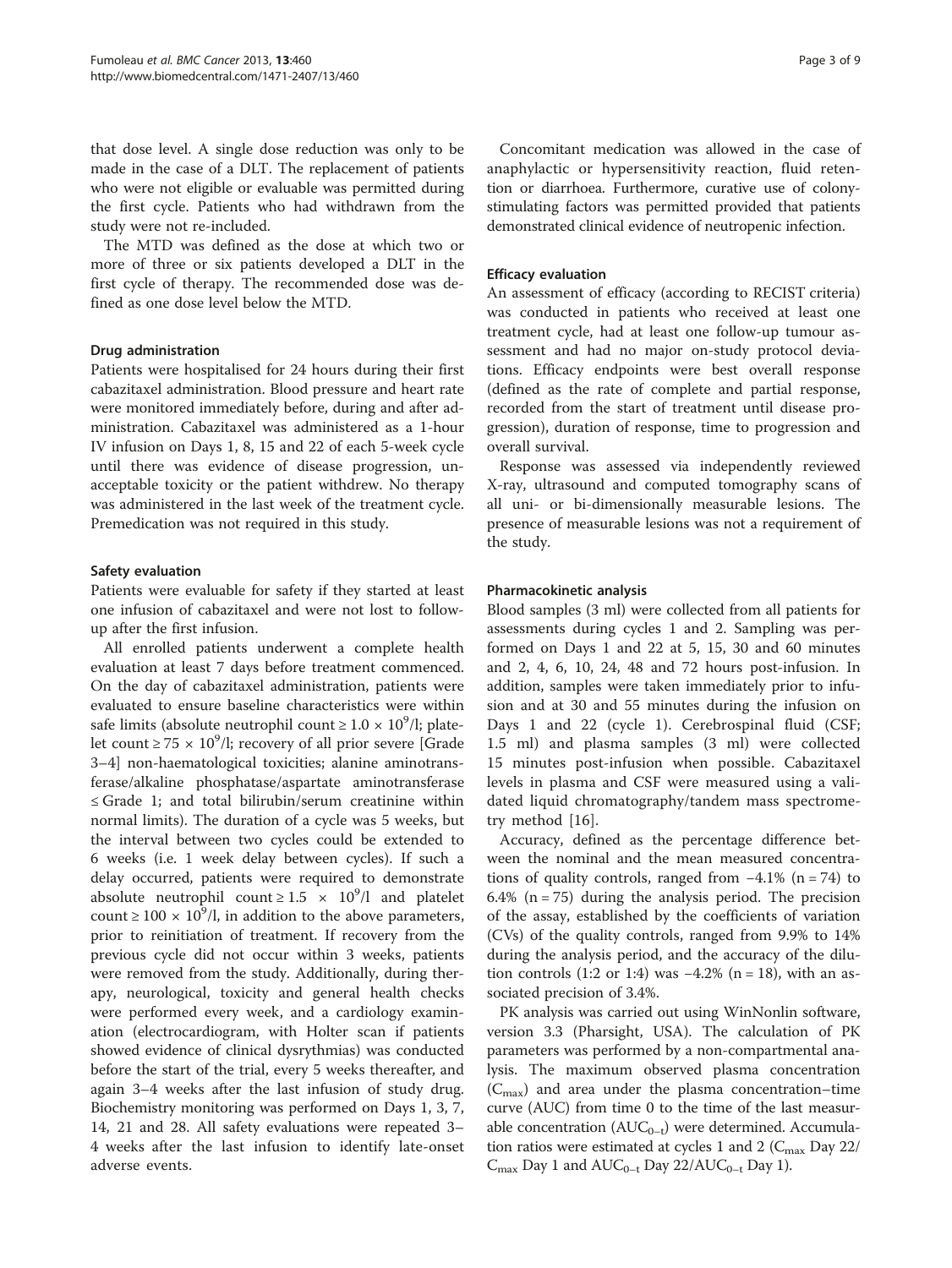that dose level. A single dose reduction was only to be made in the case of a DLT. The replacement of patients who were not eligible or evaluable was permitted during the first cycle. Patients who had withdrawn from the study were not re-included.

The MTD was defined as the dose at which two or more of three or six patients developed a DLT in the first cycle of therapy. The recommended dose was defined as one dose level below the MTD.

#### Drug administration

Patients were hospitalised for 24 hours during their first cabazitaxel administration. Blood pressure and heart rate were monitored immediately before, during and after administration. Cabazitaxel was administered as a 1-hour IV infusion on Days 1, 8, 15 and 22 of each 5-week cycle until there was evidence of disease progression, unacceptable toxicity or the patient withdrew. No therapy was administered in the last week of the treatment cycle. Premedication was not required in this study.

#### Safety evaluation

Patients were evaluable for safety if they started at least one infusion of cabazitaxel and were not lost to followup after the first infusion.

All enrolled patients underwent a complete health evaluation at least 7 days before treatment commenced. On the day of cabazitaxel administration, patients were evaluated to ensure baseline characteristics were within safe limits (absolute neutrophil count  $\geq 1.0 \times 10^9$ /l; platelet count  $\geq 75 \times 10^9$ /l; recovery of all prior severe [Grade 3–4] non-haematological toxicities; alanine aminotransferase/alkaline phosphatase/aspartate aminotransferase ≤ Grade 1; and total bilirubin/serum creatinine within normal limits). The duration of a cycle was 5 weeks, but the interval between two cycles could be extended to 6 weeks (i.e. 1 week delay between cycles). If such a delay occurred, patients were required to demonstrate absolute neutrophil count  $\geq 1.5 \times 10^9/1$  and platelet count  $\geq 100 \times 10^9$ /l, in addition to the above parameters, prior to reinitiation of treatment. If recovery from the previous cycle did not occur within 3 weeks, patients were removed from the study. Additionally, during therapy, neurological, toxicity and general health checks were performed every week, and a cardiology examination (electrocardiogram, with Holter scan if patients showed evidence of clinical dysrythmias) was conducted before the start of the trial, every 5 weeks thereafter, and again 3–4 weeks after the last infusion of study drug. Biochemistry monitoring was performed on Days 1, 3, 7, 14, 21 and 28. All safety evaluations were repeated 3– 4 weeks after the last infusion to identify late-onset adverse events.

Concomitant medication was allowed in the case of anaphylactic or hypersensitivity reaction, fluid retention or diarrhoea. Furthermore, curative use of colonystimulating factors was permitted provided that patients demonstrated clinical evidence of neutropenic infection.

#### Efficacy evaluation

An assessment of efficacy (according to RECIST criteria) was conducted in patients who received at least one treatment cycle, had at least one follow-up tumour assessment and had no major on-study protocol deviations. Efficacy endpoints were best overall response (defined as the rate of complete and partial response, recorded from the start of treatment until disease progression), duration of response, time to progression and overall survival.

Response was assessed via independently reviewed X-ray, ultrasound and computed tomography scans of all uni- or bi-dimensionally measurable lesions. The presence of measurable lesions was not a requirement of the study.

#### Pharmacokinetic analysis

Blood samples (3 ml) were collected from all patients for assessments during cycles 1 and 2. Sampling was performed on Days 1 and 22 at 5, 15, 30 and 60 minutes and 2, 4, 6, 10, 24, 48 and 72 hours post-infusion. In addition, samples were taken immediately prior to infusion and at 30 and 55 minutes during the infusion on Days 1 and 22 (cycle 1). Cerebrospinal fluid (CSF; 1.5 ml) and plasma samples (3 ml) were collected 15 minutes post-infusion when possible. Cabazitaxel levels in plasma and CSF were measured using a validated liquid chromatography/tandem mass spectrometry method [\[16](#page-8-0)].

Accuracy, defined as the percentage difference between the nominal and the mean measured concentrations of quality controls, ranged from  $-4.1\%$  (n = 74) to 6.4% ( $n = 75$ ) during the analysis period. The precision of the assay, established by the coefficients of variation (CVs) of the quality controls, ranged from 9.9% to 14% during the analysis period, and the accuracy of the dilution controls (1:2 or 1:4) was  $-4.2\%$  (n = 18), with an associated precision of 3.4%.

PK analysis was carried out using WinNonlin software, version 3.3 (Pharsight, USA). The calculation of PK parameters was performed by a non-compartmental analysis. The maximum observed plasma concentration  $(C_{\text{max}})$  and area under the plasma concentration–time curve (AUC) from time 0 to the time of the last measurable concentration  $(AUC_{0-t})$  were determined. Accumulation ratios were estimated at cycles 1 and 2 ( $C_{\text{max}}$  Day 22/  $\rm C_{max}$  Day 1 and  $\rm AUC_{0-t}$  Day 22/AUC $_{0-t}$  Day 1).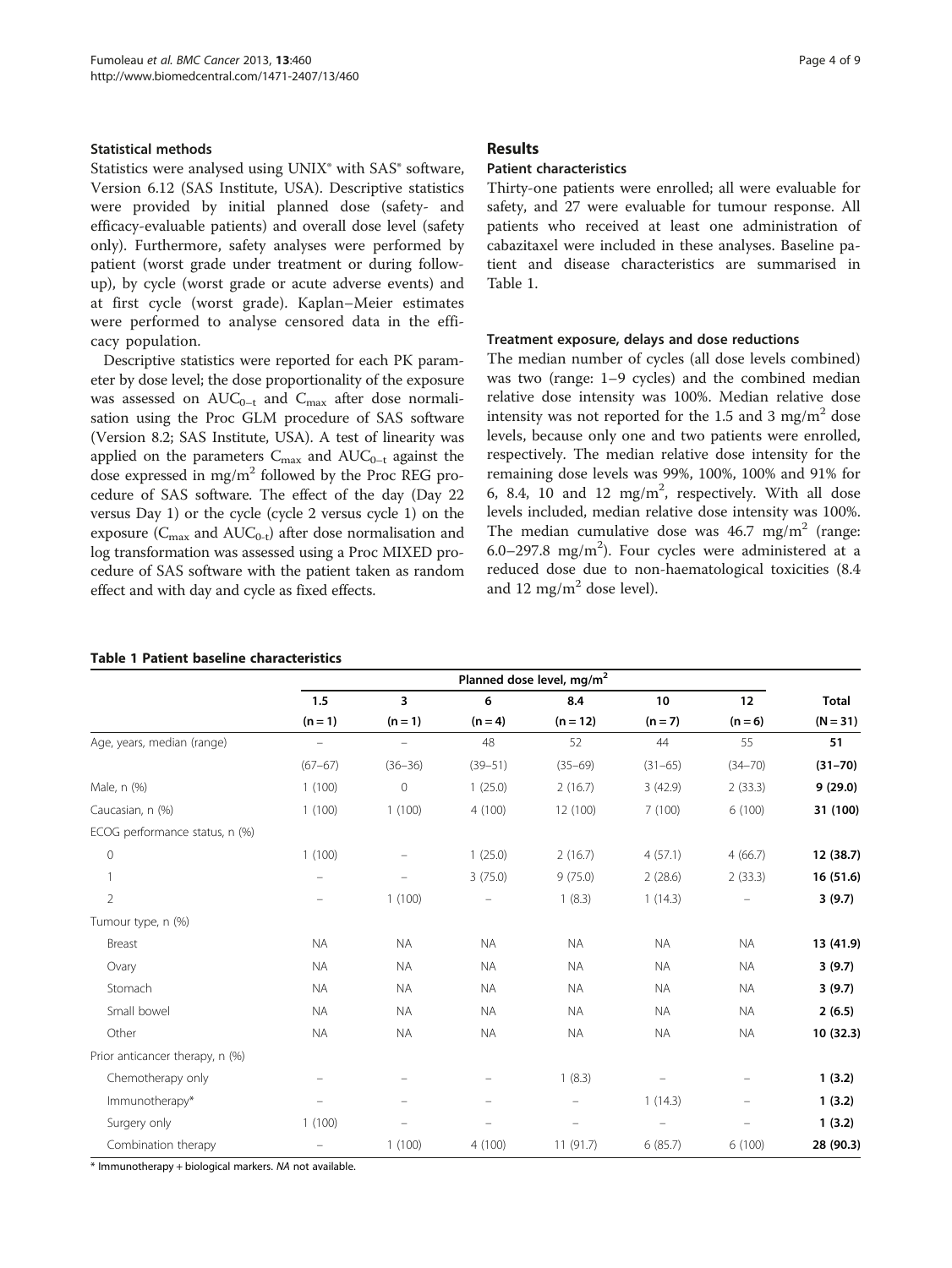#### Statistical methods

Statistics were analysed using UNIX<sup>®</sup> with SAS<sup>®</sup> software, Version 6.12 (SAS Institute, USA). Descriptive statistics were provided by initial planned dose (safety- and efficacy-evaluable patients) and overall dose level (safety only). Furthermore, safety analyses were performed by patient (worst grade under treatment or during followup), by cycle (worst grade or acute adverse events) and at first cycle (worst grade). Kaplan–Meier estimates were performed to analyse censored data in the efficacy population.

Descriptive statistics were reported for each PK parameter by dose level; the dose proportionality of the exposure was assessed on  $AUC_{0-t}$  and  $C_{max}$  after dose normalisation using the Proc GLM procedure of SAS software (Version 8.2; SAS Institute, USA). A test of linearity was applied on the parameters  $C_{\text{max}}$  and  $AUC_{0-1}$  against the dose expressed in  $mg/m^2$  followed by the Proc REG procedure of SAS software. The effect of the day (Day 22 versus Day 1) or the cycle (cycle 2 versus cycle 1) on the exposure ( $C_{\text{max}}$  and  $AUC_{0-t}$ ) after dose normalisation and log transformation was assessed using a Proc MIXED procedure of SAS software with the patient taken as random effect and with day and cycle as fixed effects.

#### Results

#### Patient characteristics

Thirty-one patients were enrolled; all were evaluable for safety, and 27 were evaluable for tumour response. All patients who received at least one administration of cabazitaxel were included in these analyses. Baseline patient and disease characteristics are summarised in Table 1.

#### Treatment exposure, delays and dose reductions

The median number of cycles (all dose levels combined) was two (range: 1–9 cycles) and the combined median relative dose intensity was 100%. Median relative dose intensity was not reported for the 1.5 and 3 mg/m<sup>2</sup> dose levels, because only one and two patients were enrolled, respectively. The median relative dose intensity for the remaining dose levels was 99%, 100%, 100% and 91% for 6, 8.4, 10 and 12  $mg/m^2$ , respectively. With all dose levels included, median relative dose intensity was 100%. The median cumulative dose was  $46.7 \text{ mg/m}^2$  (range: 6.0-297.8 mg/m<sup>2</sup>). Four cycles were administered at a reduced dose due to non-haematological toxicities (8.4 and 12 mg/m<sup>2</sup> dose level).

|                                 | Planned dose level, mg/m <sup>2</sup> |             |                          |                          |             |                          |              |
|---------------------------------|---------------------------------------|-------------|--------------------------|--------------------------|-------------|--------------------------|--------------|
|                                 | 1.5                                   | 3           | 6                        | 8.4                      | 10          | 12                       | <b>Total</b> |
|                                 | $(n = 1)$                             | $(n = 1)$   | $(n = 4)$                | $(n = 12)$               | $(n = 7)$   | $(n = 6)$                | $(N = 31)$   |
| Age, years, median (range)      | $\equiv$                              | $\equiv$    | 48                       | 52                       | 44          | 55                       | 51           |
|                                 | $(67 - 67)$                           | $(36 - 36)$ | $(39 - 51)$              | $(35 - 69)$              | $(31 - 65)$ | $(34 - 70)$              | $(31 - 70)$  |
| Male, n (%)                     | 1(100)                                | $\circ$     | 1(25.0)                  | 2(16.7)                  | 3(42.9)     | 2(33.3)                  | 9(29.0)      |
| Caucasian, n (%)                | 1(100)                                | 1(100)      | 4(100)                   | 12 (100)                 | 7(100)      | 6(100)                   | 31 (100)     |
| ECOG performance status, n (%)  |                                       |             |                          |                          |             |                          |              |
| $\mathbf 0$                     | 1(100)                                |             | 1(25.0)                  | 2(16.7)                  | 4(57.1)     | 4(66.7)                  | 12 (38.7)    |
| $\mathbf{1}$                    | -                                     | -           | 3(75.0)                  | 9(75.0)                  | 2(28.6)     | 2(33.3)                  | 16 (51.6)    |
| $\sqrt{2}$                      | $\equiv$                              | 1(100)      |                          | 1(8.3)                   | 1(14.3)     |                          | 3(9.7)       |
| Tumour type, n (%)              |                                       |             |                          |                          |             |                          |              |
| Breast                          | <b>NA</b>                             | <b>NA</b>   | <b>NA</b>                | <b>NA</b>                | <b>NA</b>   | <b>NA</b>                | 13 (41.9)    |
| Ovary                           | <b>NA</b>                             | <b>NA</b>   | <b>NA</b>                | <b>NA</b>                | <b>NA</b>   | <b>NA</b>                | 3(9.7)       |
| Stomach                         | <b>NA</b>                             | <b>NA</b>   | <b>NA</b>                | <b>NA</b>                | <b>NA</b>   | <b>NA</b>                | 3(9.7)       |
| Small bowel                     | <b>NA</b>                             | <b>NA</b>   | <b>NA</b>                | <b>NA</b>                | <b>NA</b>   | <b>NA</b>                | 2(6.5)       |
| Other                           | <b>NA</b>                             | <b>NA</b>   | <b>NA</b>                | <b>NA</b>                | <b>NA</b>   | <b>NA</b>                | 10 (32.3)    |
| Prior anticancer therapy, n (%) |                                       |             |                          |                          |             |                          |              |
| Chemotherapy only               |                                       |             |                          | 1(8.3)                   |             |                          | 1(3.2)       |
| Immunotherapy*                  | $\equiv$                              | ÷           | $\overline{\phantom{m}}$ | $\overline{\phantom{0}}$ | 1(14.3)     | $\overline{\phantom{0}}$ | 1(3.2)       |
| Surgery only                    | 1(100)                                |             |                          |                          |             |                          | 1(3.2)       |
| Combination therapy             |                                       | 1(100)      | 4(100)                   | 11(91.7)                 | 6(85.7)     | 6(100)                   | 28 (90.3)    |

Table 1 Patient baseline characteristics

\* Immunotherapy + biological markers. NA not available.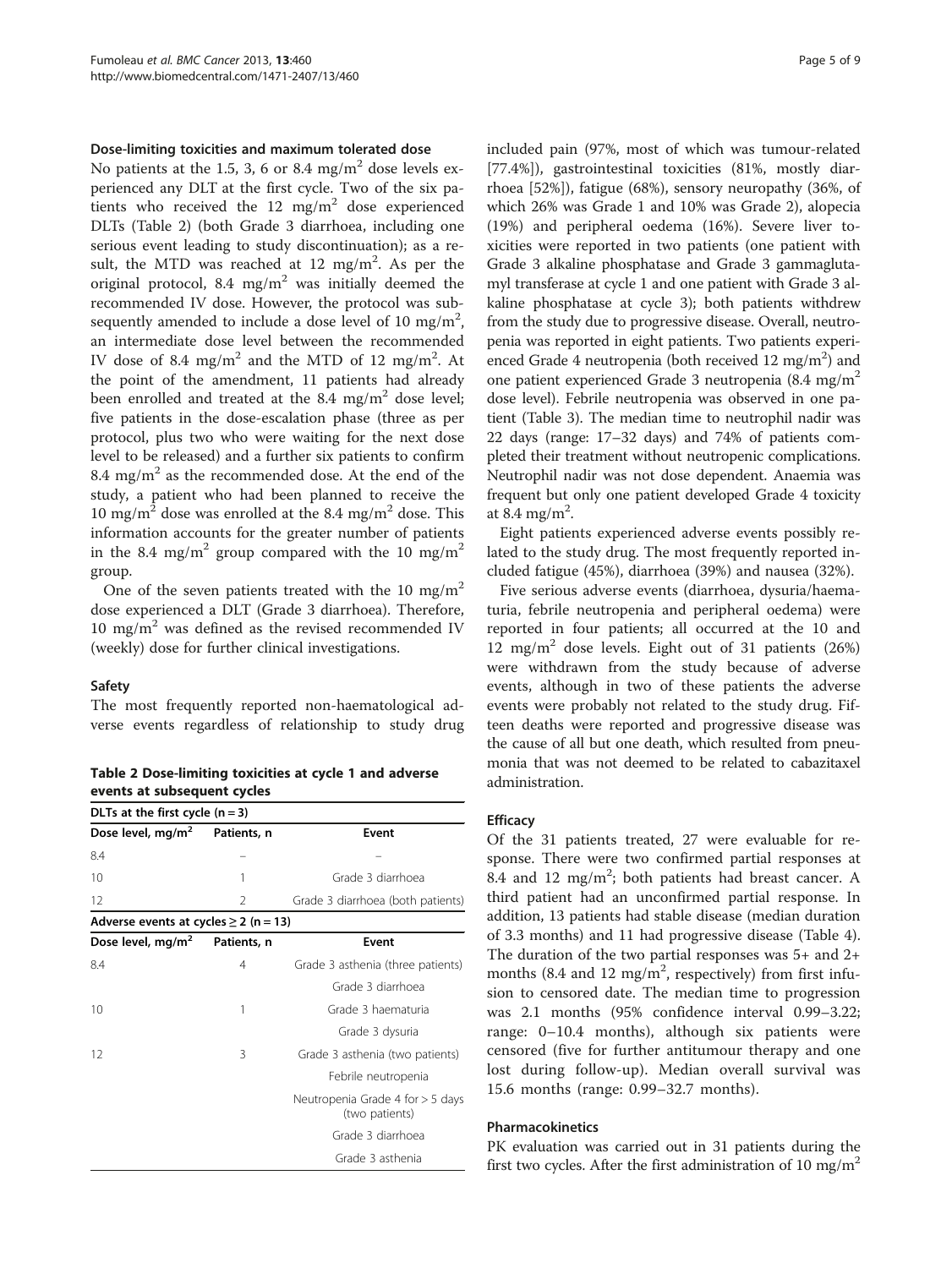#### Dose-limiting toxicities and maximum tolerated dose

No patients at the 1.5, 3, 6 or 8.4 mg/m<sup>2</sup> dose levels experienced any DLT at the first cycle. Two of the six patients who received the 12 mg/ $m^2$  dose experienced DLTs (Table 2) (both Grade 3 diarrhoea, including one serious event leading to study discontinuation); as a result, the MTD was reached at  $12 \text{ mg/m}^2$ . As per the original protocol, 8.4 mg/m<sup>2</sup> was initially deemed the recommended IV dose. However, the protocol was subsequently amended to include a dose level of 10 mg/m<sup>2</sup>, an intermediate dose level between the recommended IV dose of 8.4 mg/m<sup>2</sup> and the MTD of 12 mg/m<sup>2</sup>. At the point of the amendment, 11 patients had already been enrolled and treated at the 8.4 mg/m<sup>2</sup> dose level; five patients in the dose-escalation phase (three as per protocol, plus two who were waiting for the next dose level to be released) and a further six patients to confirm 8.4 mg/m<sup>2</sup> as the recommended dose. At the end of the study, a patient who had been planned to receive the 10 mg/m<sup>2</sup> dose was enrolled at the 8.4 mg/m<sup>2</sup> dose. This information accounts for the greater number of patients in the 8.4 mg/m<sup>2</sup> group compared with the 10 mg/m<sup>2</sup> group.

One of the seven patients treated with the 10 mg/m<sup>2</sup> dose experienced a DLT (Grade 3 diarrhoea). Therefore, 10 mg/m<sup>2</sup> was defined as the revised recommended IV (weekly) dose for further clinical investigations.

#### Safety

The most frequently reported non-haematological adverse events regardless of relationship to study drug

Table 2 Dose-limiting toxicities at cycle 1 and adverse events at subsequent cycles

| DLTs at the first cycle $(n = 3)$          |               |                                                    |
|--------------------------------------------|---------------|----------------------------------------------------|
| Dose level, mg/m <sup>2</sup>              | Patients, n   | Event                                              |
| 8.4                                        |               |                                                    |
| 10                                         | 1             | Grade 3 diarrhoea                                  |
| 12                                         | $\mathcal{P}$ | Grade 3 diarrhoea (both patients)                  |
| Adverse events at cycles $\geq 2$ (n = 13) |               |                                                    |
| Dose level, mg/m <sup>2</sup>              | Patients, n   | Event                                              |
| 8.4                                        | 4             | Grade 3 asthenia (three patients)                  |
|                                            |               | Grade 3 diarrhoea                                  |
| 10                                         | 1             | Grade 3 haematuria                                 |
|                                            |               | Grade 3 dysuria                                    |
| 12                                         | 3             | Grade 3 asthenia (two patients)                    |
|                                            |               | Febrile neutropenia                                |
|                                            |               | Neutropenia Grade 4 for > 5 days<br>(two patients) |
|                                            |               | Grade 3 diarrhoea                                  |
|                                            |               | Grade 3 asthenia                                   |

included pain (97%, most of which was tumour-related [77.4%]), gastrointestinal toxicities (81%, mostly diarrhoea [52%]), fatigue (68%), sensory neuropathy (36%, of which 26% was Grade 1 and 10% was Grade 2), alopecia (19%) and peripheral oedema (16%). Severe liver toxicities were reported in two patients (one patient with Grade 3 alkaline phosphatase and Grade 3 gammaglutamyl transferase at cycle 1 and one patient with Grade 3 alkaline phosphatase at cycle 3); both patients withdrew from the study due to progressive disease. Overall, neutropenia was reported in eight patients. Two patients experienced Grade 4 neutropenia (both received  $12 \text{ mg/m}^2$ ) and one patient experienced Grade 3 neutropenia  $(8.4 \text{ mg/m}^2)$ dose level). Febrile neutropenia was observed in one patient (Table [3\)](#page-5-0). The median time to neutrophil nadir was 22 days (range: 17–32 days) and 74% of patients completed their treatment without neutropenic complications. Neutrophil nadir was not dose dependent. Anaemia was frequent but only one patient developed Grade 4 toxicity at 8.4 mg/ $m^2$ .

Eight patients experienced adverse events possibly related to the study drug. The most frequently reported included fatigue (45%), diarrhoea (39%) and nausea (32%).

Five serious adverse events (diarrhoea, dysuria/haematuria, febrile neutropenia and peripheral oedema) were reported in four patients; all occurred at the 10 and 12 mg/m<sup>2</sup> dose levels. Eight out of 31 patients  $(26%)$ were withdrawn from the study because of adverse events, although in two of these patients the adverse events were probably not related to the study drug. Fifteen deaths were reported and progressive disease was the cause of all but one death, which resulted from pneumonia that was not deemed to be related to cabazitaxel administration.

#### **Efficacy**

Of the 31 patients treated, 27 were evaluable for response. There were two confirmed partial responses at 8.4 and 12  $\text{mg/m}^2$ ; both patients had breast cancer. A third patient had an unconfirmed partial response. In addition, 13 patients had stable disease (median duration of 3.3 months) and 11 had progressive disease (Table [4](#page-5-0)). The duration of the two partial responses was 5+ and 2+ months (8.4 and 12 mg/m<sup>2</sup>, respectively) from first infusion to censored date. The median time to progression was 2.1 months (95% confidence interval 0.99–3.22; range: 0–10.4 months), although six patients were censored (five for further antitumour therapy and one lost during follow-up). Median overall survival was 15.6 months (range: 0.99–32.7 months).

#### Pharmacokinetics

PK evaluation was carried out in 31 patients during the first two cycles. After the first administration of 10 mg/m<sup>2</sup>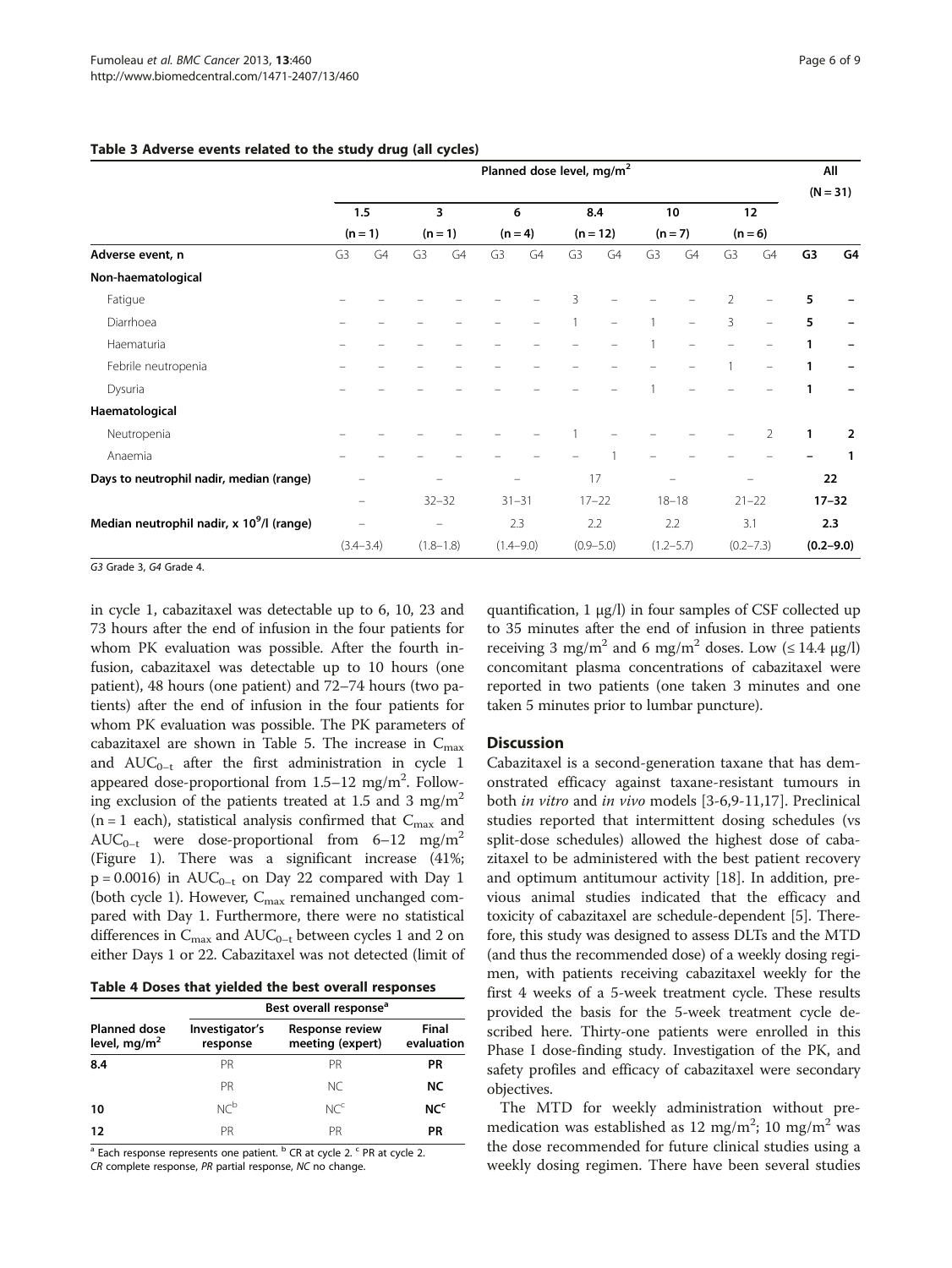|                                                       |                | Planned dose level, mg/m <sup>2</sup> |    |                          |                |               |                |                          |                |               | All            |                          |    |                |
|-------------------------------------------------------|----------------|---------------------------------------|----|--------------------------|----------------|---------------|----------------|--------------------------|----------------|---------------|----------------|--------------------------|----|----------------|
|                                                       |                |                                       |    |                          |                |               |                |                          |                |               |                |                          |    | $(N = 31)$     |
|                                                       |                | 1.5                                   |    | 3                        |                | 6             |                | 8.4                      |                | 10            |                | 12                       |    |                |
|                                                       |                | $(n = 1)$                             |    | $(n = 1)$                |                | $(n = 4)$     |                | $(n = 12)$               |                | $(n = 7)$     |                | $(n = 6)$                |    |                |
| Adverse event, n                                      | G <sub>3</sub> | G4                                    | G3 | G <sub>4</sub>           | G <sub>3</sub> | G4            | G <sub>3</sub> | G4                       | G <sub>3</sub> | G4            | G <sub>3</sub> | G4                       | G3 | G <sub>4</sub> |
| Non-haematological                                    |                |                                       |    |                          |                |               |                |                          |                |               |                |                          |    |                |
| Fatigue                                               |                |                                       |    |                          |                |               | 3              |                          |                |               | $\overline{2}$ |                          | 5  |                |
| Diarrhoea                                             |                |                                       |    |                          |                |               | $\mathbf{1}$   | $\overline{\phantom{0}}$ |                | $\equiv$      | 3              | $\equiv$                 | 5  |                |
| Haematuria                                            |                |                                       |    |                          |                |               |                |                          |                | -             |                |                          | 1  |                |
| Febrile neutropenia                                   |                |                                       |    |                          |                |               |                |                          |                |               |                | $\overline{\phantom{m}}$ | 1  |                |
| Dysuria                                               |                |                                       |    |                          |                |               |                |                          |                |               |                |                          | 1  |                |
| Haematological                                        |                |                                       |    |                          |                |               |                |                          |                |               |                |                          |    |                |
| Neutropenia                                           |                |                                       |    |                          |                |               |                |                          |                |               |                | $\overline{2}$           | 1  | $\overline{2}$ |
| Anaemia                                               |                |                                       |    |                          |                |               |                |                          |                |               |                |                          |    | 1              |
| Days to neutrophil nadir, median (range)              |                |                                       |    |                          |                |               |                | 17                       |                |               |                |                          |    | 22             |
|                                                       |                | $\qquad \qquad =$                     |    | $32 - 32$                |                | $31 - 31$     |                | $17 - 22$                |                | $18 - 18$     |                | $21 - 22$                |    | $17 - 32$      |
| Median neutrophil nadir, x 10 <sup>9</sup> /l (range) |                |                                       |    | $\overline{\phantom{0}}$ |                | 2.3           |                | 2.2                      |                | 2.2           |                | 3.1                      |    | 2.3            |
|                                                       |                | $(3.4 - 3.4)$                         |    | $(1.8 - 1.8)$            |                | $(1.4 - 9.0)$ |                | $(0.9 - 5.0)$            |                | $(1.2 - 5.7)$ |                | $(0.2 - 7.3)$            |    | $(0.2 - 9.0)$  |

#### <span id="page-5-0"></span>Table 3 Adverse events related to the study drug (all cycles)

G3 Grade 3, G4 Grade 4.

in cycle 1, cabazitaxel was detectable up to 6, 10, 23 and 73 hours after the end of infusion in the four patients for whom PK evaluation was possible. After the fourth infusion, cabazitaxel was detectable up to 10 hours (one patient), 48 hours (one patient) and 72–74 hours (two patients) after the end of infusion in the four patients for whom PK evaluation was possible. The PK parameters of cabazitaxel are shown in Table [5](#page-6-0). The increase in  $C_{\text{max}}$ and  $AUC_{0-t}$  after the first administration in cycle 1 appeared dose-proportional from 1.5–12 mg/m<sup>2</sup>. Following exclusion of the patients treated at 1.5 and 3 mg/m<sup>2</sup>  $(n = 1$  each), statistical analysis confirmed that  $C_{\text{max}}$  and AUC<sub>0-t</sub> were dose-proportional from 6–12 mg/m<sup>2</sup> (Figure [1](#page-6-0)). There was a significant increase (41%;  $p = 0.0016$ ) in  $AUC_{0-t}$  on Day 22 compared with Day 1 (both cycle 1). However,  $C_{\text{max}}$  remained unchanged compared with Day 1. Furthermore, there were no statistical differences in  $C_{\text{max}}$  and  $AUC_{0-t}$  between cycles 1 and 2 on either Days 1 or 22. Cabazitaxel was not detected (limit of

|  |  |  |  |  | Table 4 Doses that yielded the best overall responses |
|--|--|--|--|--|-------------------------------------------------------|
|--|--|--|--|--|-------------------------------------------------------|

| <b>Planned dose</b><br>level, $mg/m2$<br>8.4 | Best overall response <sup>a</sup> |                                            |                     |  |  |  |  |  |
|----------------------------------------------|------------------------------------|--------------------------------------------|---------------------|--|--|--|--|--|
|                                              | Investigator's<br>response         | <b>Response review</b><br>meeting (expert) | Final<br>evaluation |  |  |  |  |  |
|                                              | РR                                 | PR                                         | РR                  |  |  |  |  |  |
|                                              | <b>PR</b>                          | NC.                                        | <b>NC</b>           |  |  |  |  |  |
| 10                                           | N <sup>b</sup>                     | NC <sup>c</sup>                            | NC <sup>c</sup>     |  |  |  |  |  |
| 12                                           | ΡR                                 | PR                                         | PR                  |  |  |  |  |  |

 $a$  Each response represents one patient.  $b$  CR at cycle 2.  $c$  PR at cycle 2. CR complete response, PR partial response, NC no change.

quantification, 1 μg/l) in four samples of CSF collected up to 35 minutes after the end of infusion in three patients receiving 3 mg/m<sup>2</sup> and 6 mg/m<sup>2</sup> doses. Low ( $\leq 14.4 \text{ }\mu\text{g/l}$ ) concomitant plasma concentrations of cabazitaxel were reported in two patients (one taken 3 minutes and one taken 5 minutes prior to lumbar puncture).

#### **Discussion**

Cabazitaxel is a second-generation taxane that has demonstrated efficacy against taxane-resistant tumours in both in vitro and in vivo models [\[3-6](#page-8-0),[9-11,17\]](#page-8-0). Preclinical studies reported that intermittent dosing schedules (vs split-dose schedules) allowed the highest dose of cabazitaxel to be administered with the best patient recovery and optimum antitumour activity [[18\]](#page-8-0). In addition, previous animal studies indicated that the efficacy and toxicity of cabazitaxel are schedule-dependent [[5\]](#page-8-0). Therefore, this study was designed to assess DLTs and the MTD (and thus the recommended dose) of a weekly dosing regimen, with patients receiving cabazitaxel weekly for the first 4 weeks of a 5-week treatment cycle. These results provided the basis for the 5-week treatment cycle described here. Thirty-one patients were enrolled in this Phase I dose-finding study. Investigation of the PK, and safety profiles and efficacy of cabazitaxel were secondary objectives.

The MTD for weekly administration without premedication was established as 12 mg/m<sup>2</sup>; 10 mg/m<sup>2</sup> was the dose recommended for future clinical studies using a weekly dosing regimen. There have been several studies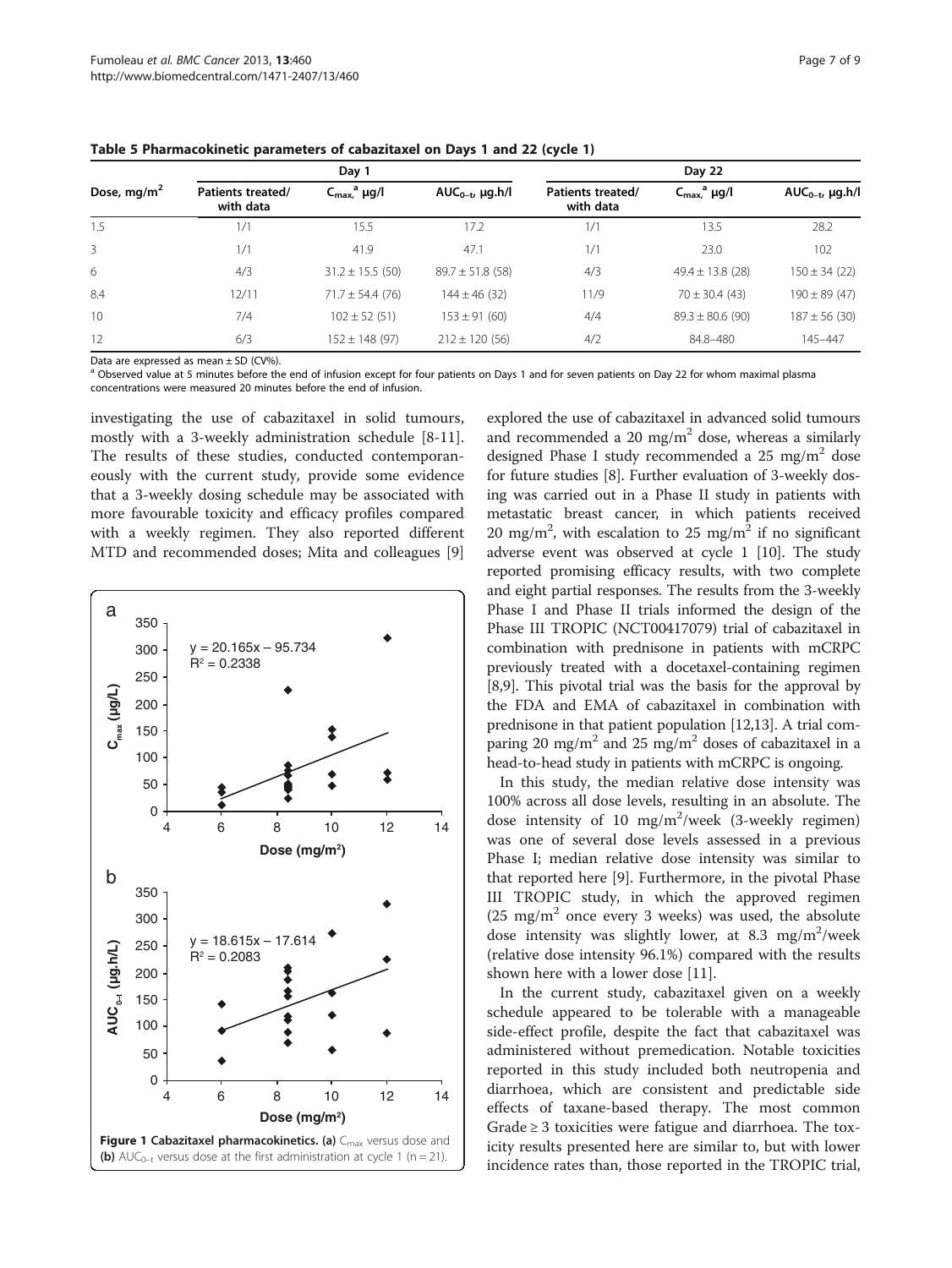|                   |                                | Day 1                   |                           | Day 22                         |                         |                           |  |  |  |  |
|-------------------|--------------------------------|-------------------------|---------------------------|--------------------------------|-------------------------|---------------------------|--|--|--|--|
| Dose, $mg/m^2$    | Patients treated/<br>with data | $C_{\text{max}}^a$ µg/l | $AUC_{0-t}$ , $\mu$ g.h/l | Patients treated/<br>with data | $C_{\text{max}}^a$ µg/l | $AUC_{0-t}$ , $\mu$ g.h/l |  |  |  |  |
| 1.5               | 1/1                            | 15.5                    | 17.2                      | 1/1                            | 13.5                    | 28.2                      |  |  |  |  |
| 3                 | 1/1                            | 41.9                    | 47.1                      | 1/1                            | 23.0                    | 102                       |  |  |  |  |
| 6                 | 4/3                            | $31.2 \pm 15.5$ (50)    | $89.7 \pm 51.8$ (58)      | 4/3                            | $49.4 \pm 13.8$ (28)    | $150 \pm 34$ (22)         |  |  |  |  |
| 8.4               | 12/11                          | $71.7 \pm 54.4$ (76)    | 144 ± 46 (32)             | 11/9                           | $70 \pm 30.4$ (43)      | $190 \pm 89$ (47)         |  |  |  |  |
| 10                | 7/4                            | $102 \pm 52(51)$        | $153 \pm 91 (60)$         | 4/4                            | $89.3 \pm 80.6$ (90)    | $187 \pm 56$ (30)         |  |  |  |  |
| $12 \overline{ }$ | 6/3                            | $152 \pm 148$ (97)      | $212 \pm 120$ (56)        | 4/2                            | 84.8-480                | 145-447                   |  |  |  |  |

<span id="page-6-0"></span>Table 5 Pharmacokinetic parameters of cabazitaxel on Days 1 and 22 (cycle 1)

Data are expressed as mean ± SD (CV%).

<sup>a</sup> Observed value at 5 minutes before the end of infusion except for four patients on Days 1 and for seven patients on Day 22 for whom maximal plasma concentrations were measured 20 minutes before the end of infusion.

investigating the use of cabazitaxel in solid tumours, mostly with a 3-weekly administration schedule [[8-11](#page-8-0)]. The results of these studies, conducted contemporaneously with the current study, provide some evidence that a 3-weekly dosing schedule may be associated with more favourable toxicity and efficacy profiles compared with a weekly regimen. They also reported different MTD and recommended doses; Mita and colleagues [\[9](#page-8-0)]



explored the use of cabazitaxel in advanced solid tumours and recommended a 20 mg/m<sup>2</sup> dose, whereas a similarly designed Phase I study recommended a  $25 \text{ mg/m}^2$  dose for future studies [[8\]](#page-8-0). Further evaluation of 3-weekly dosing was carried out in a Phase II study in patients with metastatic breast cancer, in which patients received 20 mg/m<sup>2</sup>, with escalation to 25 mg/m<sup>2</sup> if no significant adverse event was observed at cycle 1 [\[10](#page-8-0)]. The study reported promising efficacy results, with two complete and eight partial responses. The results from the 3-weekly Phase I and Phase II trials informed the design of the Phase III TROPIC (NCT00417079) trial of cabazitaxel in combination with prednisone in patients with mCRPC previously treated with a docetaxel-containing regimen [[8,9\]](#page-8-0). This pivotal trial was the basis for the approval by the FDA and EMA of cabazitaxel in combination with prednisone in that patient population [\[12,13](#page-8-0)]. A trial comparing 20 mg/m<sup>2</sup> and 25 mg/m<sup>2</sup> doses of cabazitaxel in a head-to-head study in patients with mCRPC is ongoing.

In this study, the median relative dose intensity was 100% across all dose levels, resulting in an absolute. The dose intensity of 10 mg/m<sup>2</sup>/week (3-weekly regimen) was one of several dose levels assessed in a previous Phase I; median relative dose intensity was similar to that reported here [\[9](#page-8-0)]. Furthermore, in the pivotal Phase III TROPIC study, in which the approved regimen  $(25 \text{ mg/m}^2)$  once every 3 weeks) was used, the absolute dose intensity was slightly lower, at 8.3 mg/m<sup>2</sup>/week (relative dose intensity 96.1%) compared with the results shown here with a lower dose [\[11](#page-8-0)].

In the current study, cabazitaxel given on a weekly schedule appeared to be tolerable with a manageable side-effect profile, despite the fact that cabazitaxel was administered without premedication. Notable toxicities reported in this study included both neutropenia and diarrhoea, which are consistent and predictable side effects of taxane-based therapy. The most common Grade  $\geq$  3 toxicities were fatigue and diarrhoea. The toxicity results presented here are similar to, but with lower incidence rates than, those reported in the TROPIC trial,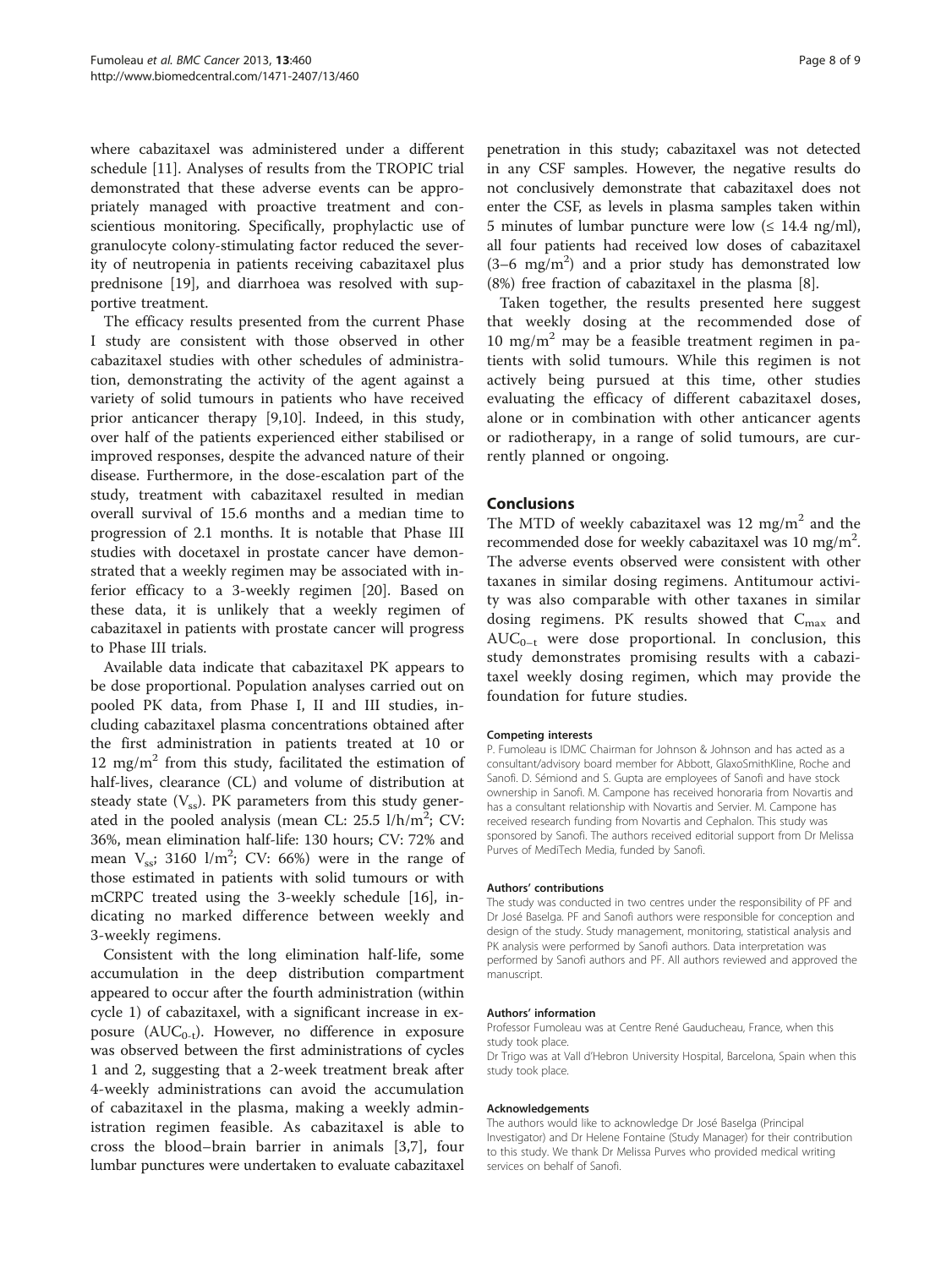where cabazitaxel was administered under a different schedule [\[11](#page-8-0)]. Analyses of results from the TROPIC trial demonstrated that these adverse events can be appropriately managed with proactive treatment and conscientious monitoring. Specifically, prophylactic use of granulocyte colony-stimulating factor reduced the severity of neutropenia in patients receiving cabazitaxel plus prednisone [[19](#page-8-0)], and diarrhoea was resolved with supportive treatment.

The efficacy results presented from the current Phase I study are consistent with those observed in other cabazitaxel studies with other schedules of administration, demonstrating the activity of the agent against a variety of solid tumours in patients who have received prior anticancer therapy [\[9,10](#page-8-0)]. Indeed, in this study, over half of the patients experienced either stabilised or improved responses, despite the advanced nature of their disease. Furthermore, in the dose-escalation part of the study, treatment with cabazitaxel resulted in median overall survival of 15.6 months and a median time to progression of 2.1 months. It is notable that Phase III studies with docetaxel in prostate cancer have demonstrated that a weekly regimen may be associated with inferior efficacy to a 3-weekly regimen [\[20](#page-8-0)]. Based on these data, it is unlikely that a weekly regimen of cabazitaxel in patients with prostate cancer will progress to Phase III trials.

Available data indicate that cabazitaxel PK appears to be dose proportional. Population analyses carried out on pooled PK data, from Phase I, II and III studies, including cabazitaxel plasma concentrations obtained after the first administration in patients treated at 10 or 12 mg/m<sup>2</sup> from this study, facilitated the estimation of half-lives, clearance (CL) and volume of distribution at steady state  $(V_{ss})$ . PK parameters from this study generated in the pooled analysis (mean CL: 25.5  $1/h/m^2$ ; CV: 36%, mean elimination half-life: 130 hours; CV: 72% and mean  $V_{ss}$ ; 3160  $1/m^2$ ; CV: 66%) were in the range of those estimated in patients with solid tumours or with mCRPC treated using the 3-weekly schedule [[16](#page-8-0)], indicating no marked difference between weekly and 3-weekly regimens.

Consistent with the long elimination half-life, some accumulation in the deep distribution compartment appeared to occur after the fourth administration (within cycle 1) of cabazitaxel, with a significant increase in exposure ( $AUC_{0-t}$ ). However, no difference in exposure was observed between the first administrations of cycles 1 and 2, suggesting that a 2-week treatment break after 4-weekly administrations can avoid the accumulation of cabazitaxel in the plasma, making a weekly administration regimen feasible. As cabazitaxel is able to cross the blood–brain barrier in animals [[3,7\]](#page-8-0), four lumbar punctures were undertaken to evaluate cabazitaxel penetration in this study; cabazitaxel was not detected in any CSF samples. However, the negative results do not conclusively demonstrate that cabazitaxel does not enter the CSF, as levels in plasma samples taken within 5 minutes of lumbar puncture were low  $( \leq 14.4 \text{ ng/ml})$ , all four patients had received low doses of cabazitaxel  $(3-6 \text{ mg/m}^2)$  and a prior study has demonstrated low (8%) free fraction of cabazitaxel in the plasma [[8](#page-8-0)].

Taken together, the results presented here suggest that weekly dosing at the recommended dose of 10 mg/m<sup>2</sup> may be a feasible treatment regimen in patients with solid tumours. While this regimen is not actively being pursued at this time, other studies evaluating the efficacy of different cabazitaxel doses, alone or in combination with other anticancer agents or radiotherapy, in a range of solid tumours, are currently planned or ongoing.

#### Conclusions

The MTD of weekly cabazitaxel was 12 mg/m<sup>2</sup> and the recommended dose for weekly cabazitaxel was 10 mg/m<sup>2</sup>. The adverse events observed were consistent with other taxanes in similar dosing regimens. Antitumour activity was also comparable with other taxanes in similar dosing regimens. PK results showed that  $C_{\text{max}}$  and  $AUC_{0-t}$  were dose proportional. In conclusion, this study demonstrates promising results with a cabazitaxel weekly dosing regimen, which may provide the foundation for future studies.

#### Competing interests

P. Fumoleau is IDMC Chairman for Johnson & Johnson and has acted as a consultant/advisory board member for Abbott, GlaxoSmithKline, Roche and Sanofi. D. Sémiond and S. Gupta are employees of Sanofi and have stock ownership in Sanofi. M. Campone has received honoraria from Novartis and has a consultant relationship with Novartis and Servier. M. Campone has received research funding from Novartis and Cephalon. This study was sponsored by Sanofi. The authors received editorial support from Dr Melissa Purves of MediTech Media, funded by Sanofi.

#### Authors' contributions

The study was conducted in two centres under the responsibility of PF and Dr José Baselga. PF and Sanofi authors were responsible for conception and design of the study. Study management, monitoring, statistical analysis and PK analysis were performed by Sanofi authors. Data interpretation was performed by Sanofi authors and PF. All authors reviewed and approved the manuscript.

#### Authors' information

Professor Fumoleau was at Centre René Gauducheau, France, when this study took place.

Dr Trigo was at Vall d'Hebron University Hospital, Barcelona, Spain when this study took place.

#### Acknowledgements

The authors would like to acknowledge Dr José Baselga (Principal Investigator) and Dr Helene Fontaine (Study Manager) for their contribution to this study. We thank Dr Melissa Purves who provided medical writing services on behalf of Sanofi.